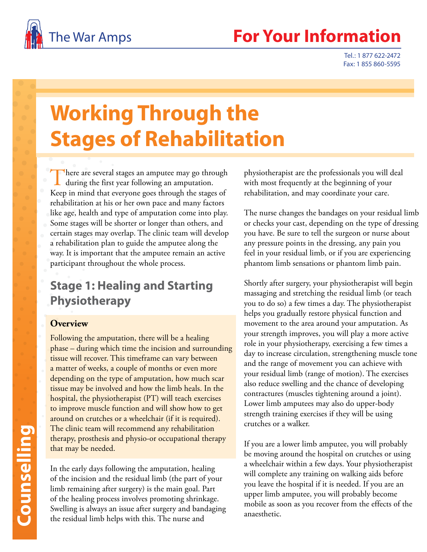

## The War Amps **For Your Informatio**

Tel.: 1 877 622-2472 Fax: 1 855 860-5595

# **Working Through the Stages of Rehabilitation**

There are several stages an amputee may go through  $\mathsf{L}\,$  during the first year following an amputation. Keep in mind that everyone goes through the stages of rehabilitation at his or her own pace and many factors like age, health and type of amputation come into play. Some stages will be shorter or longer than others, and certain stages may overlap. The clinic team will develop a rehabilitation plan to guide the amputee along the way. It is important that the amputee remain an active participant throughout the whole process.

## **Stage 1: Healing and Starting Physiotherapy**

#### **Overview**

Following the amputation, there will be a healing phase – during which time the incision and surrounding tissue will recover. This timeframe can vary between a matter of weeks, a couple of months or even more depending on the type of amputation, how much scar tissue may be involved and how the limb heals. In the hospital, the physiotherapist (PT) will teach exercises to improve muscle function and will show how to get around on crutches or a wheelchair (if it is required). The clinic team will recommend any rehabilitation therapy, prosthesis and physio-or occupational therapy that may be needed.

In the early days following the amputation, healing of the incision and the residual limb (the part of your limb remaining after surgery) is the main goal. Part of the healing process involves promoting shrinkage. Swelling is always an issue after surgery and bandaging the residual limb helps with this. The nurse and

physiotherapist are the professionals you will deal with most frequently at the beginning of your rehabilitation, and may coordinate your care.

The nurse changes the bandages on your residual limb or checks your cast, depending on the type of dressing you have. Be sure to tell the surgeon or nurse about any pressure points in the dressing, any pain you feel in your residual limb, or if you are experiencing phantom limb sensations or phantom limb pain.

Shortly after surgery, your physiotherapist will begin massaging and stretching the residual limb (or teach you to do so) a few times a day. The physiotherapist helps you gradually restore physical function and movement to the area around your amputation. As your strength improves, you will play a more active role in your physiotherapy, exercising a few times a day to increase circulation, strengthening muscle tone and the range of movement you can achieve with your residual limb (range of motion). The exercises also reduce swelling and the chance of developing contractures (muscles tightening around a joint). Lower limb amputees may also do upper-body strength training exercises if they will be using crutches or a walker.

If you are a lower limb amputee, you will probably be moving around the hospital on crutches or using a wheelchair within a few days. Your physiotherapist will complete any training on walking aids before you leave the hospital if it is needed. If you are an upper limb amputee, you will probably become mobile as soon as you recover from the effects of the anaesthetic.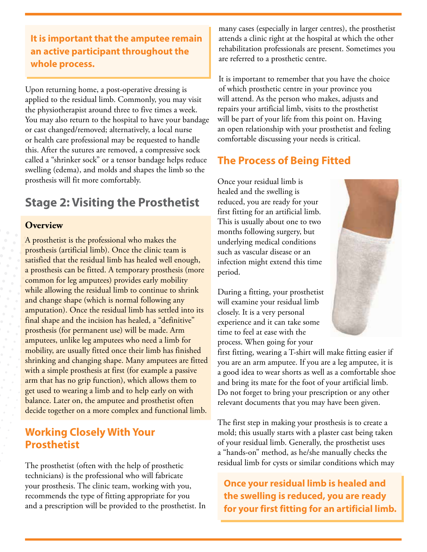**It is important that the amputee remain an active participant throughout the whole process.** 

Upon returning home, a post-operative dressing is applied to the residual limb. Commonly, you may visit the physiotherapist around three to five times a week. You may also return to the hospital to have your bandage or cast changed/removed; alternatively, a local nurse or health care professional may be requested to handle this. After the sutures are removed, a compressive sock called a "shrinker sock" or a tensor bandage helps reduce swelling (edema), and molds and shapes the limb so the prosthesis will fit more comfortably.

## **Stage 2: Visiting the Prosthetist**

#### **Overview**

A prosthetist is the professional who makes the prosthesis (artificial limb). Once the clinic team is satisfied that the residual limb has healed well enough, a prosthesis can be fitted. A temporary prosthesis (more common for leg amputees) provides early mobility while allowing the residual limb to continue to shrink and change shape (which is normal following any amputation). Once the residual limb has settled into its final shape and the incision has healed, a "definitive" prosthesis (for permanent use) will be made. Arm amputees, unlike leg amputees who need a limb for mobility, are usually fitted once their limb has finished shrinking and changing shape. Many amputees are fitted with a simple prosthesis at first (for example a passive arm that has no grip function), which allows them to get used to wearing a limb and to help early on with balance. Later on, the amputee and prosthetist often decide together on a more complex and functional limb.

#### **Working Closely With Your Prosthetist**

The prosthetist (often with the help of prosthetic technicians) is the professional who will fabricate your prosthesis. The clinic team, working with you, recommends the type of fitting appropriate for you and a prescription will be provided to the prosthetist. In many cases (especially in larger centres), the prosthetist attends a clinic right at the hospital at which the other rehabilitation professionals are present. Sometimes you are referred to a prosthetic centre.

It is important to remember that you have the choice of which prosthetic centre in your province you will attend. As the person who makes, adjusts and repairs your artificial limb, visits to the prosthetist will be part of your life from this point on. Having an open relationship with your prosthetist and feeling comfortable discussing your needs is critical.

#### **The Process of Being Fitted**

Once your residual limb is healed and the swelling is reduced, you are ready for your first fitting for an artificial limb. This is usually about one to two months following surgery, but underlying medical conditions such as vascular disease or an infection might extend this time period.

During a fitting, your prosthetist will examine your residual limb closely. It is a very personal experience and it can take some time to feel at ease with the process. When going for your



first fitting, wearing a T-shirt will make fitting easier if you are an arm amputee. If you are a leg amputee, it is a good idea to wear shorts as well as a comfortable shoe and bring its mate for the foot of your artificial limb. Do not forget to bring your prescription or any other relevant documents that you may have been given.

The first step in making your prosthesis is to create a mold; this usually starts with a plaster cast being taken of your residual limb. Generally, the prosthetist uses a "hands-on" method, as he/she manually checks the residual limb for cysts or similar conditions which may

**Once your residual limb is healed and the swelling is reduced, you are ready for your first fitting for an artificial limb.**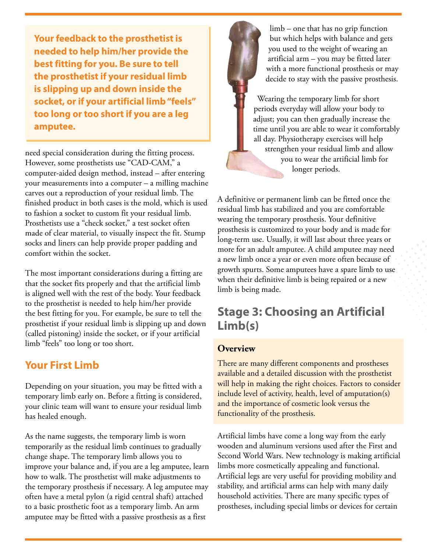**Your feedback to the prosthetist is needed to help him/her provide the best fitting for you. Be sure to tell the prosthetist if your residual limb is slipping up and down inside the socket, or if your artificial limb "feels" too long or too short if you are a leg amputee.** 

need special consideration during the fitting process. However, some prosthetists use "CAD-CAM," a computer-aided design method, instead – after entering your measurements into a computer – a milling machine carves out a reproduction of your residual limb. The finished product in both cases is the mold, which is used to fashion a socket to custom fit your residual limb. Prosthetists use a "check socket," a test socket often made of clear material, to visually inspect the fit. Stump socks and liners can help provide proper padding and comfort within the socket.

The most important considerations during a fitting are that the socket fits properly and that the artificial limb is aligned well with the rest of the body. Your feedback to the prosthetist is needed to help him/her provide the best fitting for you. For example, be sure to tell the prosthetist if your residual limb is slipping up and down (called pistoning) inside the socket, or if your artificial limb "feels" too long or too short.

#### **Your First Limb**

Depending on your situation, you may be fitted with a temporary limb early on. Before a fitting is considered, your clinic team will want to ensure your residual limb has healed enough.

As the name suggests, the temporary limb is worn temporarily as the residual limb continues to gradually change shape. The temporary limb allows you to improve your balance and, if you are a leg amputee, learn how to walk. The prosthetist will make adjustments to the temporary prosthesis if necessary. A leg amputee may often have a metal pylon (a rigid central shaft) attached to a basic prosthetic foot as a temporary limb. An arm amputee may be fitted with a passive prosthesis as a first



Wearing the temporary limb for short periods everyday will allow your body to adjust; you can then gradually increase the time until you are able to wear it comfortably all day. Physiotherapy exercises will help strengthen your residual limb and allow you to wear the artificial limb for longer periods.

A definitive or permanent limb can be fitted once the residual limb has stabilized and you are comfortable wearing the temporary prosthesis. Your definitive prosthesis is customized to your body and is made for long-term use. Usually, it will last about three years or more for an adult amputee. A child amputee may need a new limb once a year or even more often because of growth spurts. Some amputees have a spare limb to use when their definitive limb is being repaired or a new limb is being made.

## **Stage 3: Choosing an Artificial Limb(s)**

#### **Overview**

There are many different components and prostheses available and a detailed discussion with the prosthetist will help in making the right choices. Factors to consider include level of activity, health, level of amputation(s) and the importance of cosmetic look versus the functionality of the prosthesis.

Artificial limbs have come a long way from the early wooden and aluminum versions used after the First and Second World Wars. New technology is making artificial limbs more cosmetically appealing and functional. Artificial legs are very useful for providing mobility and stability, and artificial arms can help with many daily household activities. There are many specific types of prostheses, including special limbs or devices for certain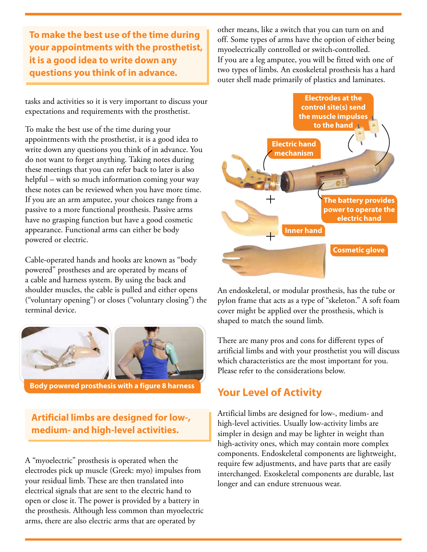**To make the best use of the time during your appointments with the prosthetist, it is a good idea to write down any questions you think of in advance.**

tasks and activities so it is very important to discuss your expectations and requirements with the prosthetist.

To make the best use of the time during your appointments with the prosthetist, it is a good idea to write down any questions you think of in advance. You do not want to forget anything. Taking notes during these meetings that you can refer back to later is also helpful – with so much information coming your way these notes can be reviewed when you have more time. If you are an arm amputee, your choices range from a passive to a more functional prosthesis. Passive arms have no grasping function but have a good cosmetic appearance. Functional arms can either be body powered or electric.

Cable-operated hands and hooks are known as "body powered" prostheses and are operated by means of a cable and harness system. By using the back and shoulder muscles, the cable is pulled and either opens ("voluntary opening") or closes ("voluntary closing") the terminal device.



**Body powered prosthesis with a figure 8 harness**

**Artificial limbs are designed for low-, medium- and high-level activities.** 

A "myoelectric" prosthesis is operated when the electrodes pick up muscle (Greek: myo) impulses from your residual limb. These are then translated into electrical signals that are sent to the electric hand to open or close it. The power is provided by a battery in the prosthesis. Although less common than myoelectric arms, there are also electric arms that are operated by

other means, like a switch that you can turn on and off. Some types of arms have the option of either being myoelectrically controlled or switch-controlled. If you are a leg amputee, you will be fitted with one of two types of limbs. An exoskeletal prosthesis has a hard outer shell made primarily of plastics and laminates.



An endoskeletal, or modular prosthesis, has the tube or pylon frame that acts as a type of "skeleton." A soft foam cover might be applied over the prosthesis, which is shaped to match the sound limb.

There are many pros and cons for different types of artificial limbs and with your prosthetist you will discuss which characteristics are the most important for you. Please refer to the considerations below.

#### **Your Level of Activity**

Artificial limbs are designed for low-, medium- and high-level activities. Usually low-activity limbs are simpler in design and may be lighter in weight than high-activity ones, which may contain more complex components. Endoskeletal components are lightweight, require few adjustments, and have parts that are easily interchanged. Exoskeletal components are durable, last longer and can endure strenuous wear.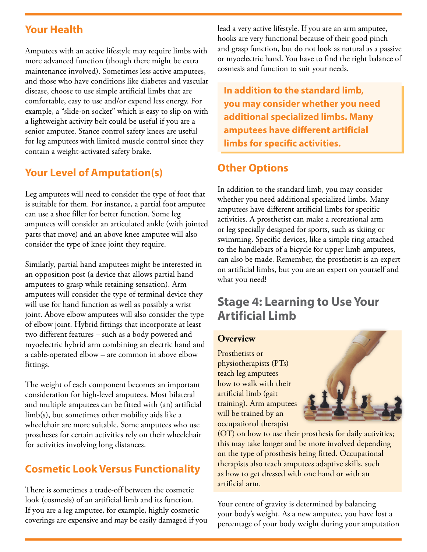#### **Your Health**

Amputees with an active lifestyle may require limbs with more advanced function (though there might be extra maintenance involved). Sometimes less active amputees, and those who have conditions like diabetes and vascular disease, choose to use simple artificial limbs that are comfortable, easy to use and/or expend less energy. For example, a "slide-on socket" which is easy to slip on with a lightweight activity belt could be useful if you are a senior amputee. Stance control safety knees are useful for leg amputees with limited muscle control since they contain a weight-activated safety brake.

#### **Your Level of Amputation(s)**

Leg amputees will need to consider the type of foot that is suitable for them. For instance, a partial foot amputee can use a shoe filler for better function. Some leg amputees will consider an articulated ankle (with jointed parts that move) and an above knee amputee will also consider the type of knee joint they require.

Similarly, partial hand amputees might be interested in an opposition post (a device that allows partial hand amputees to grasp while retaining sensation). Arm amputees will consider the type of terminal device they will use for hand function as well as possibly a wrist joint. Above elbow amputees will also consider the type of elbow joint. Hybrid fittings that incorporate at least two different features – such as a body powered and myoelectric hybrid arm combining an electric hand and a cable-operated elbow – are common in above elbow fittings.

The weight of each component becomes an important consideration for high-level amputees. Most bilateral and multiple amputees can be fitted with (an) artificial limb(s), but sometimes other mobility aids like a wheelchair are more suitable. Some amputees who use prostheses for certain activities rely on their wheelchair for activities involving long distances.

#### **Cosmetic Look Versus Functionality**

There is sometimes a trade-off between the cosmetic look (cosmesis) of an artificial limb and its function. If you are a leg amputee, for example, highly cosmetic coverings are expensive and may be easily damaged if you lead a very active lifestyle. If you are an arm amputee, hooks are very functional because of their good pinch and grasp function, but do not look as natural as a passive or myoelectric hand. You have to find the right balance of cosmesis and function to suit your needs.

**In addition to the standard limb, you may consider whether you need additional specialized limbs. Many amputees have different artificial limbs for specific activities.**

#### **Other Options**

In addition to the standard limb, you may consider whether you need additional specialized limbs. Many amputees have different artificial limbs for specific activities. A prosthetist can make a recreational arm or leg specially designed for sports, such as skiing or swimming. Specific devices, like a simple ring attached to the handlebars of a bicycle for upper limb amputees, can also be made. Remember, the prosthetist is an expert on artificial limbs, but you are an expert on yourself and what you need!

## **Stage 4: Learning to Use Your Artificial Limb**

#### **Overview**

Prosthetists or physiotherapists (PTs) teach leg amputees how to walk with their artificial limb (gait training). Arm amputees will be trained by an occupational therapist



(OT) on how to use their prosthesis for daily activities; this may take longer and be more involved depending on the type of prosthesis being fitted. Occupational therapists also teach amputees adaptive skills, such as how to get dressed with one hand or with an artificial arm.

Your centre of gravity is determined by balancing your body's weight. As a new amputee, you have lost a percentage of your body weight during your amputation